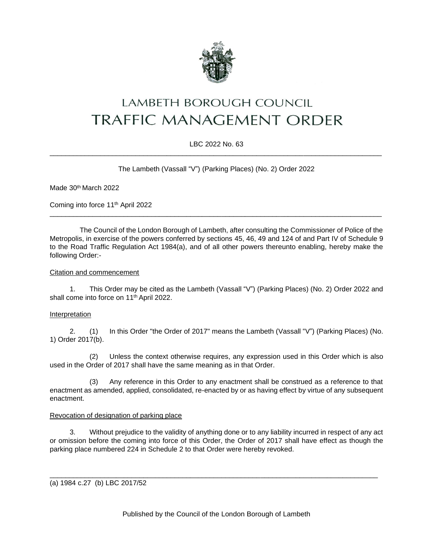

# **LAMBETH BOROUGH COUNCIL TRAFFIC MANAGEMENT ORDER**

# LBC 2022 No. 63 \_\_\_\_\_\_\_\_\_\_\_\_\_\_\_\_\_\_\_\_\_\_\_\_\_\_\_\_\_\_\_\_\_\_\_\_\_\_\_\_\_\_\_\_\_\_\_\_\_\_\_\_\_\_\_\_\_\_\_\_\_\_\_\_\_\_\_\_\_\_\_\_\_\_\_\_\_\_\_\_\_\_\_\_\_

The Lambeth (Vassall "V") (Parking Places) (No. 2) Order 2022

Made 30<sup>th</sup> March 2022

Coming into force 11th April 2022

The Council of the London Borough of Lambeth, after consulting the Commissioner of Police of the Metropolis, in exercise of the powers conferred by sections 45, 46, 49 and 124 of and Part IV of Schedule 9 to the Road Traffic Regulation Act 1984(a), and of all other powers thereunto enabling, hereby make the following Order:-

\_\_\_\_\_\_\_\_\_\_\_\_\_\_\_\_\_\_\_\_\_\_\_\_\_\_\_\_\_\_\_\_\_\_\_\_\_\_\_\_\_\_\_\_\_\_\_\_\_\_\_\_\_\_\_\_\_\_\_\_\_\_\_\_\_\_\_\_\_\_\_\_\_\_\_\_\_\_\_\_\_\_\_\_\_

## Citation and commencement

1. This Order may be cited as the Lambeth (Vassall "V") (Parking Places) (No. 2) Order 2022 and shall come into force on 11<sup>th</sup> April 2022.

## Interpretation

2. (1) In this Order "the Order of 2017" means the Lambeth (Vassall "V") (Parking Places) (No. 1) Order 2017(b).

(2) Unless the context otherwise requires, any expression used in this Order which is also used in the Order of 2017 shall have the same meaning as in that Order.

(3) Any reference in this Order to any enactment shall be construed as a reference to that enactment as amended, applied, consolidated, re-enacted by or as having effect by virtue of any subsequent enactment.

## Revocation of designation of parking place

3. Without prejudice to the validity of anything done or to any liability incurred in respect of any act or omission before the coming into force of this Order, the Order of 2017 shall have effect as though the parking place numbered 224 in Schedule 2 to that Order were hereby revoked.

\_\_\_\_\_\_\_\_\_\_\_\_\_\_\_\_\_\_\_\_\_\_\_\_\_\_\_\_\_\_\_\_\_\_\_\_\_\_\_\_\_\_\_\_\_\_\_\_\_\_\_\_\_\_\_\_\_\_\_\_\_\_\_\_\_\_\_\_\_\_\_\_\_\_\_\_\_\_\_\_\_\_\_\_

(a) 1984 c.27 (b) LBC 2017/52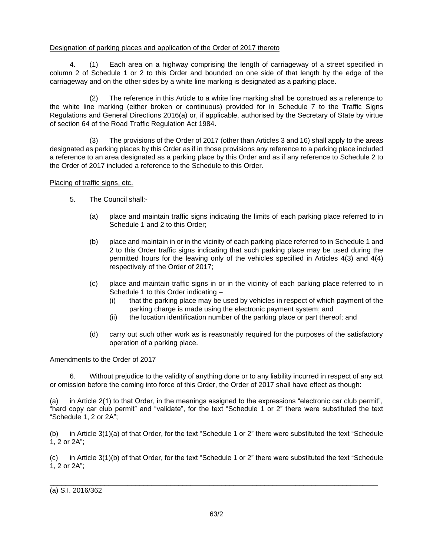# Designation of parking places and application of the Order of 2017 thereto

4. (1) Each area on a highway comprising the length of carriageway of a street specified in column 2 of Schedule 1 or 2 to this Order and bounded on one side of that length by the edge of the carriageway and on the other sides by a white line marking is designated as a parking place.

(2) The reference in this Article to a white line marking shall be construed as a reference to the white line marking (either broken or continuous) provided for in Schedule 7 to the Traffic Signs Regulations and General Directions 2016(a) or, if applicable, authorised by the Secretary of State by virtue of section 64 of the Road Traffic Regulation Act 1984.

(3) The provisions of the Order of 2017 (other than Articles 3 and 16) shall apply to the areas designated as parking places by this Order as if in those provisions any reference to a parking place included a reference to an area designated as a parking place by this Order and as if any reference to Schedule 2 to the Order of 2017 included a reference to the Schedule to this Order.

## Placing of traffic signs, etc.

- 5. The Council shall:-
	- (a) place and maintain traffic signs indicating the limits of each parking place referred to in Schedule 1 and 2 to this Order;
	- (b) place and maintain in or in the vicinity of each parking place referred to in Schedule 1 and 2 to this Order traffic signs indicating that such parking place may be used during the permitted hours for the leaving only of the vehicles specified in Articles 4(3) and 4(4) respectively of the Order of 2017;
	- (c) place and maintain traffic signs in or in the vicinity of each parking place referred to in Schedule 1 to this Order indicating –
		- (i) that the parking place may be used by vehicles in respect of which payment of the parking charge is made using the electronic payment system; and
		- (ii) the location identification number of the parking place or part thereof; and
	- (d) carry out such other work as is reasonably required for the purposes of the satisfactory operation of a parking place.

## Amendments to the Order of 2017

6. Without prejudice to the validity of anything done or to any liability incurred in respect of any act or omission before the coming into force of this Order, the Order of 2017 shall have effect as though:

(a) in Article 2(1) to that Order, in the meanings assigned to the expressions "electronic car club permit", "hard copy car club permit" and "validate", for the text "Schedule 1 or 2" there were substituted the text "Schedule 1, 2 or 2A";

(b) in Article 3(1)(a) of that Order, for the text "Schedule 1 or 2" there were substituted the text "Schedule 1, 2 or 2A";

(c) in Article 3(1)(b) of that Order, for the text "Schedule 1 or 2" there were substituted the text "Schedule 1, 2 or 2A";

\_\_\_\_\_\_\_\_\_\_\_\_\_\_\_\_\_\_\_\_\_\_\_\_\_\_\_\_\_\_\_\_\_\_\_\_\_\_\_\_\_\_\_\_\_\_\_\_\_\_\_\_\_\_\_\_\_\_\_\_\_\_\_\_\_\_\_\_\_\_\_\_\_\_\_\_\_\_\_\_\_\_\_\_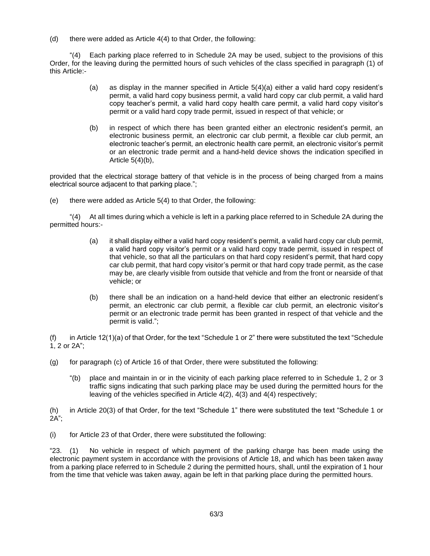(d) there were added as Article 4(4) to that Order, the following:

"(4) Each parking place referred to in Schedule 2A may be used, subject to the provisions of this Order, for the leaving during the permitted hours of such vehicles of the class specified in paragraph (1) of this Article:-

- (a) as display in the manner specified in Article 5(4)(a) either a valid hard copy resident's permit, a valid hard copy business permit, a valid hard copy car club permit, a valid hard copy teacher's permit, a valid hard copy health care permit, a valid hard copy visitor's permit or a valid hard copy trade permit, issued in respect of that vehicle; or
- (b) in respect of which there has been granted either an electronic resident's permit, an electronic business permit, an electronic car club permit, a flexible car club permit, an electronic teacher's permit, an electronic health care permit, an electronic visitor's permit or an electronic trade permit and a hand-held device shows the indication specified in Article  $5(4)(b)$ ,

provided that the electrical storage battery of that vehicle is in the process of being charged from a mains electrical source adjacent to that parking place.";

(e) there were added as Article 5(4) to that Order, the following:

"(4) At all times during which a vehicle is left in a parking place referred to in Schedule 2A during the permitted hours:-

- (a) it shall display either a valid hard copy resident's permit, a valid hard copy car club permit, a valid hard copy visitor's permit or a valid hard copy trade permit, issued in respect of that vehicle, so that all the particulars on that hard copy resident's permit, that hard copy car club permit, that hard copy visitor's permit or that hard copy trade permit, as the case may be, are clearly visible from outside that vehicle and from the front or nearside of that vehicle; or
- (b) there shall be an indication on a hand-held device that either an electronic resident's permit, an electronic car club permit, a flexible car club permit, an electronic visitor's permit or an electronic trade permit has been granted in respect of that vehicle and the permit is valid.";

(f) in Article 12(1)(a) of that Order, for the text "Schedule 1 or 2" there were substituted the text "Schedule 1, 2 or 2A";

- (g) for paragraph (c) of Article 16 of that Order, there were substituted the following:
	- "(b) place and maintain in or in the vicinity of each parking place referred to in Schedule 1, 2 or 3 traffic signs indicating that such parking place may be used during the permitted hours for the leaving of the vehicles specified in Article 4(2), 4(3) and 4(4) respectively;

(h) in Article 20(3) of that Order, for the text "Schedule 1" there were substituted the text "Schedule 1 or  $2A$ ":

(i) for Article 23 of that Order, there were substituted the following:

"23. (1) No vehicle in respect of which payment of the parking charge has been made using the electronic payment system in accordance with the provisions of Article 18, and which has been taken away from a parking place referred to in Schedule 2 during the permitted hours, shall, until the expiration of 1 hour from the time that vehicle was taken away, again be left in that parking place during the permitted hours.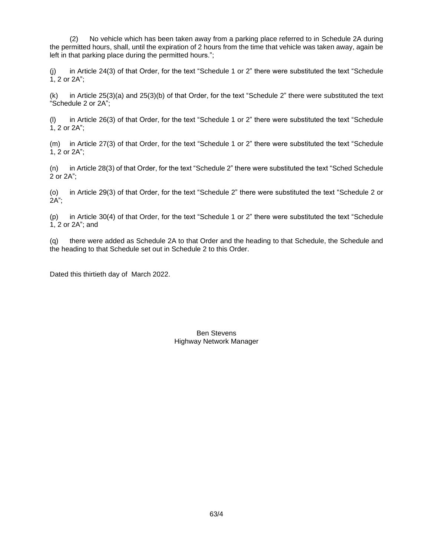(2) No vehicle which has been taken away from a parking place referred to in Schedule 2A during the permitted hours, shall, until the expiration of 2 hours from the time that vehicle was taken away, again be left in that parking place during the permitted hours.";

(j) in Article 24(3) of that Order, for the text "Schedule 1 or 2" there were substituted the text "Schedule 1, 2 or 2A";

(k) in Article 25(3)(a) and 25(3)(b) of that Order, for the text "Schedule 2" there were substituted the text "Schedule 2 or 2A";

(l) in Article 26(3) of that Order, for the text "Schedule 1 or 2" there were substituted the text "Schedule 1, 2 or 2A";

(m) in Article 27(3) of that Order, for the text "Schedule 1 or 2" there were substituted the text "Schedule 1, 2 or 2A";

(n) in Article 28(3) of that Order, for the text "Schedule 2" there were substituted the text "Sched Schedule 2 or 2A";

(o) in Article 29(3) of that Order, for the text "Schedule 2" there were substituted the text "Schedule 2 or 2A";

(p) in Article 30(4) of that Order, for the text "Schedule 1 or 2" there were substituted the text "Schedule 1, 2 or 2A"; and

(q) there were added as Schedule 2A to that Order and the heading to that Schedule, the Schedule and the heading to that Schedule set out in Schedule 2 to this Order.

Dated this thirtieth day of March 2022.

Ben Stevens Highway Network Manager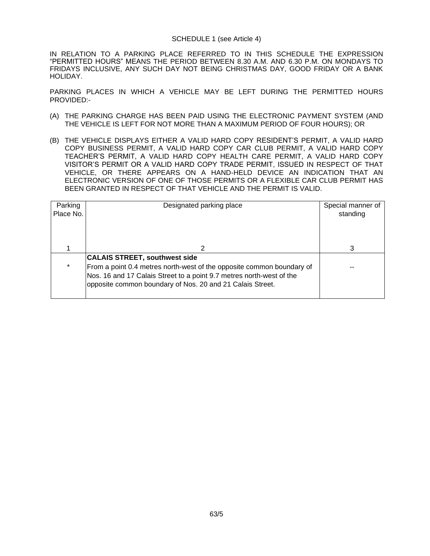## SCHEDULE 1 (see Article 4)

IN RELATION TO A PARKING PLACE REFERRED TO IN THIS SCHEDULE THE EXPRESSION "PERMITTED HOURS" MEANS THE PERIOD BETWEEN 8.30 A.M. AND 6.30 P.M. ON MONDAYS TO FRIDAYS INCLUSIVE, ANY SUCH DAY NOT BEING CHRISTMAS DAY, GOOD FRIDAY OR A BANK HOLIDAY.

PARKING PLACES IN WHICH A VEHICLE MAY BE LEFT DURING THE PERMITTED HOURS PROVIDED:-

- (A) THE PARKING CHARGE HAS BEEN PAID USING THE ELECTRONIC PAYMENT SYSTEM (AND THE VEHICLE IS LEFT FOR NOT MORE THAN A MAXIMUM PERIOD OF FOUR HOURS); OR
- (B) THE VEHICLE DISPLAYS EITHER A VALID HARD COPY RESIDENT'S PERMIT, A VALID HARD COPY BUSINESS PERMIT, A VALID HARD COPY CAR CLUB PERMIT, A VALID HARD COPY TEACHER'S PERMIT, A VALID HARD COPY HEALTH CARE PERMIT, A VALID HARD COPY VISITOR'S PERMIT OR A VALID HARD COPY TRADE PERMIT, ISSUED IN RESPECT OF THAT VEHICLE, OR THERE APPEARS ON A HAND-HELD DEVICE AN INDICATION THAT AN ELECTRONIC VERSION OF ONE OF THOSE PERMITS OR A FLEXIBLE CAR CLUB PERMIT HAS BEEN GRANTED IN RESPECT OF THAT VEHICLE AND THE PERMIT IS VALID.

| Parking<br>Place No. | Designated parking place                                              | Special manner of<br>standing |
|----------------------|-----------------------------------------------------------------------|-------------------------------|
|                      |                                                                       |                               |
|                      | 2                                                                     | 3                             |
|                      | <b>CALAIS STREET, southwest side</b>                                  |                               |
| $\star$              | From a point 0.4 metres north-west of the opposite common boundary of |                               |
|                      | Nos. 16 and 17 Calais Street to a point 9.7 metres north-west of the  |                               |
|                      | opposite common boundary of Nos. 20 and 21 Calais Street.             |                               |
|                      |                                                                       |                               |